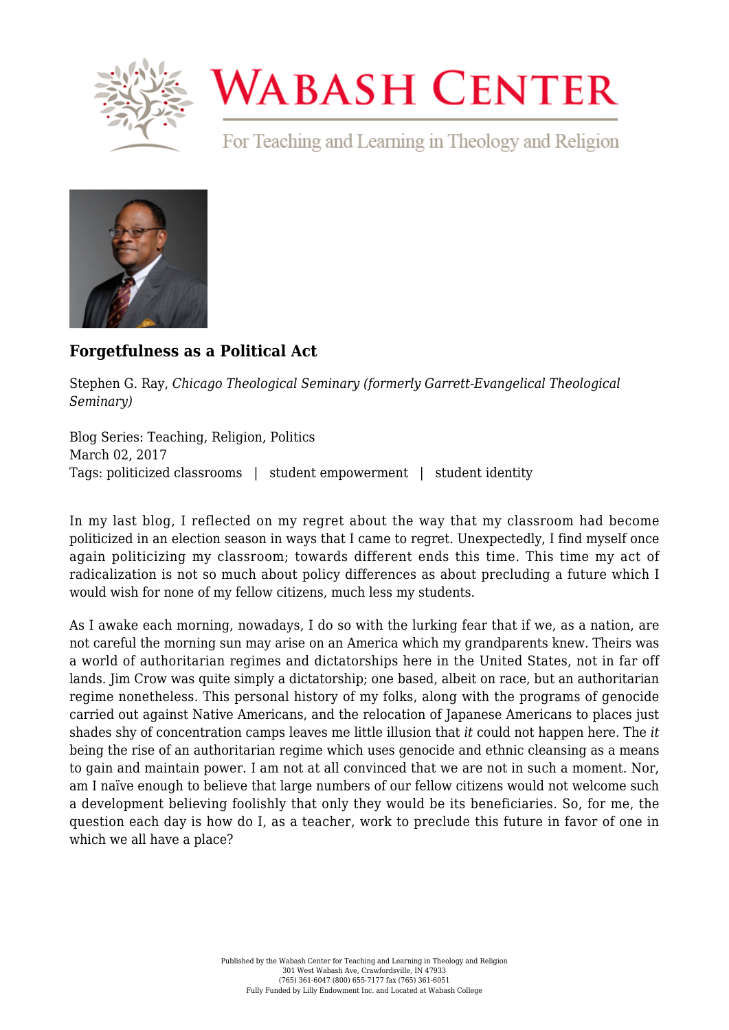

## **WABASH CENTER**

For Teaching and Learning in Theology and Religion



## **[Forgetfulness as a Political Act](https://www.wabashcenter.wabash.edu/2017/03/forgetfulness-as-a-political-act/)**

Stephen G. Ray, *Chicago Theological Seminary (formerly Garrett-Evangelical Theological Seminary)*

Blog Series: Teaching, Religion, Politics March 02, 2017 Tags: politicized classrooms | student empowerment | student identity

In my last blog, I reflected on my regret about the way that my classroom had become politicized in an election season in ways that I came to regret. Unexpectedly, I find myself once again politicizing my classroom; towards different ends this time. This time my act of radicalization is not so much about policy differences as about precluding a future which I would wish for none of my fellow citizens, much less my students.

As I awake each morning, nowadays, I do so with the lurking fear that if we, as a nation, are not careful the morning sun may arise on an America which my grandparents knew. Theirs was a world of authoritarian regimes and dictatorships here in the United States, not in far off lands. Jim Crow was quite simply a dictatorship; one based, albeit on race, but an authoritarian regime nonetheless. This personal history of my folks, along with the programs of genocide carried out against Native Americans, and the relocation of Japanese Americans to places just shades shy of concentration camps leaves me little illusion that *it* could not happen here. The *it* being the rise of an authoritarian regime which uses genocide and ethnic cleansing as a means to gain and maintain power. I am not at all convinced that we are not in such a moment. Nor, am I naïve enough to believe that large numbers of our fellow citizens would not welcome such a development believing foolishly that only they would be its beneficiaries. So, for me, the question each day is how do I, as a teacher, work to preclude this future in favor of one in which we all have a place?